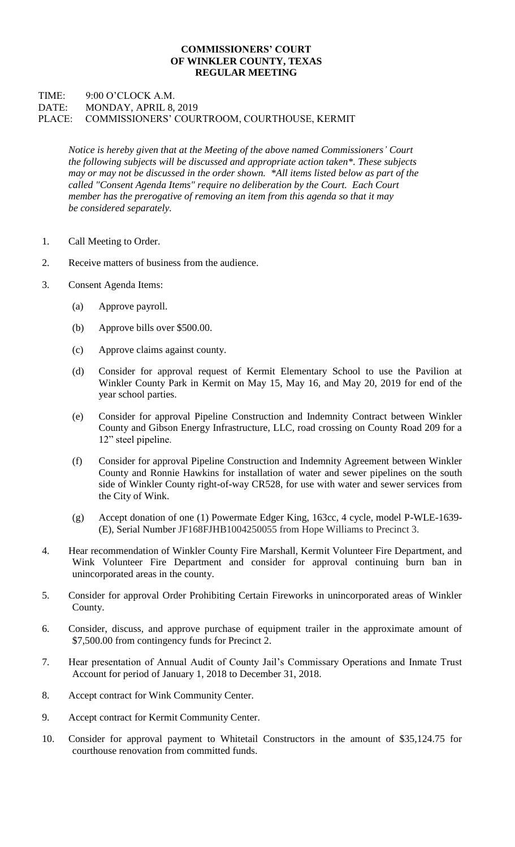## **COMMISSIONERS' COURT OF WINKLER COUNTY, TEXAS REGULAR MEETING**

## TIME: 9:00 O'CLOCK A.M. DATE: MONDAY, APRIL 8, 2019 PLACE: COMMISSIONERS' COURTROOM, COURTHOUSE, KERMIT

*Notice is hereby given that at the Meeting of the above named Commissioners' Court the following subjects will be discussed and appropriate action taken\*. These subjects may or may not be discussed in the order shown. \*All items listed below as part of the called "Consent Agenda Items" require no deliberation by the Court. Each Court member has the prerogative of removing an item from this agenda so that it may be considered separately.*

- 1. Call Meeting to Order.
- 2. Receive matters of business from the audience.
- 3. Consent Agenda Items:
	- (a) Approve payroll.
	- (b) Approve bills over \$500.00.
	- (c) Approve claims against county.
	- (d) Consider for approval request of Kermit Elementary School to use the Pavilion at Winkler County Park in Kermit on May 15, May 16, and May 20, 2019 for end of the year school parties.
	- (e) Consider for approval Pipeline Construction and Indemnity Contract between Winkler County and Gibson Energy Infrastructure, LLC, road crossing on County Road 209 for a 12" steel pipeline.
	- (f) Consider for approval Pipeline Construction and Indemnity Agreement between Winkler County and Ronnie Hawkins for installation of water and sewer pipelines on the south side of Winkler County right-of-way CR528, for use with water and sewer services from the City of Wink.
	- (g) Accept donation of one (1) Powermate Edger King, 163cc, 4 cycle, model P-WLE-1639- (E), Serial Number JF168FJHB1004250055 from Hope Williams to Precinct 3.
- 4. Hear recommendation of Winkler County Fire Marshall, Kermit Volunteer Fire Department, and Wink Volunteer Fire Department and consider for approval continuing burn ban in unincorporated areas in the county.
- 5. Consider for approval Order Prohibiting Certain Fireworks in unincorporated areas of Winkler County.
- 6. Consider, discuss, and approve purchase of equipment trailer in the approximate amount of \$7,500.00 from contingency funds for Precinct 2.
- 7. Hear presentation of Annual Audit of County Jail's Commissary Operations and Inmate Trust Account for period of January 1, 2018 to December 31, 2018.
- 8. Accept contract for Wink Community Center.
- 9. Accept contract for Kermit Community Center.
- 10. Consider for approval payment to Whitetail Constructors in the amount of \$35,124.75 for courthouse renovation from committed funds.